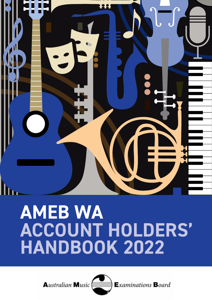

# **AMEB WA ACCOUNT HOLDERS'** HANDBOOK 2022

**Australian Music** 



**Examinations Board**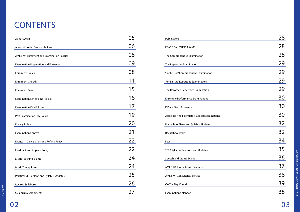# **CONTENTS**

| <b>About AMEB</b>                                 | 05 |
|---------------------------------------------------|----|
| Account Holder Responsibilities                   | 06 |
| <b>AMEB WA Enrolment and Examination Policies</b> | 08 |
| <b>Examination Preparation and Enrolment</b>      | 09 |
| <b>Enrolment Policies</b>                         | 08 |
| <b>Enrolment Checklist</b>                        |    |
| <b>Enrolment Fees</b>                             | 15 |
| <b>Examination Scheduling Policies</b>            | 16 |
| <b>Examination Day Policies</b>                   | 17 |
| Post Examination Day Policies                     | 19 |
| <b>Privacy Policy</b>                             | 20 |
| <b>Examination Centres</b>                        | 21 |
|                                                   | 22 |
| Events - Cancellation and Refund Policy           | 22 |
| Feedback and Appeals Policy                       |    |
| <b>Music Teaching Exams</b>                       | 24 |
| <b>Music Theory Exams</b>                         | 24 |
| Practical Music News and Syllabus Updates         | 25 |
| <b>Revised Syllabuses</b>                         | 26 |
| <b>Syllabus Developments</b>                      | 27 |

| Publications                                    | 28 |
|-------------------------------------------------|----|
| PRACTICAL MUSIC EXAMS                           | 28 |
| The Comprehensive Examination                   | 28 |
| The Repertoire Examination                      | 29 |
| 'For Leisure' Comprehensive Examinations        | 29 |
| 'For Leisure' Repertoire Examinations           | 29 |
| The Recorded Repertoire Examination             | 29 |
| <b>Ensemble Performance Examinations</b>        | 30 |
| P Plate Piano Assessments                       | 30 |
| Associate And Licentiate Practical Examinations | 30 |
| Rockschool News and Syllabus Updates            | 32 |
| <b>Rockschool Exams</b>                         | 32 |
| Fees                                            | 34 |
| 2022 Syllabus Revisions and Updates             | 35 |
| Speech and Drama Exams                          | 36 |
| <b>AMEB WA Products and Resources</b>           | 37 |
| <b>AMEB WA Consultancy Service</b>              | 38 |
| On The Day Checklist                            | 39 |
| <b>Examination Calendar</b>                     | 38 |

| Publications                                           | 28 |
|--------------------------------------------------------|----|
| PRACTICAL MUSIC EXAMS                                  | 28 |
| The Comprehensive Examination                          | 28 |
| The Repertoire Examination                             | 29 |
| 'For Leisure' Comprehensive Examinations               | 29 |
| 'For Leisure' Repertoire Examinations                  | 29 |
| The Recorded Repertoire Examination                    | 29 |
| <b>Ensemble Performance Examinations</b>               | 30 |
|                                                        | 30 |
| P Plate Piano Assessments                              | 30 |
| <b>Associate And Licentiate Practical Examinations</b> |    |
| Rockschool News and Syllabus Updates                   | 32 |
| Rockschool Exams                                       | 32 |
| Fees                                                   | 34 |
| 2022 Syllabus Revisions and Updates                    | 35 |
| Speech and Drama Exams                                 | 36 |
| <b>AMEB WA Products and Resources</b>                  | 37 |
| <b>AMEB WA Consultancy Service</b>                     | 38 |
| On The Day Checklist                                   | 39 |
|                                                        | 38 |
| <b>Examination Calendar</b>                            |    |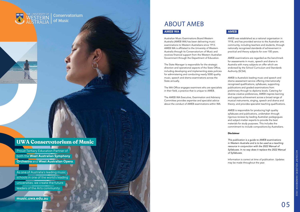AMEB WA

### ABOUT AMEB AMEB WA

Australian Music Examinations Board Western Australia (AMEB WA) has been delivering music examinations to Western Australians since 1913. AMEB WA is affiliated to the University of Western Australia through its Conservatorium of Music and receives financial support from the Western Australian Government through the Department of Education.

The State Manager is responsible for the strategic direction and operational aspects of the State Office, including developing and implementing state policies for administering and conducting nearly 5000 quality music, speech and drama examinations across the State annually.

The WA Office engages examiners who are specialists in their field, a practice that is unique to AMEB.

The AMEB WA Executive, Examination and Advisory Committee provides expertise and specialist advice about the conduct of AMEB examinations within WA.

### AMEB

AMEB was established as a national organisation in 1918, and has provided service to the Australian arts community, including teachers and students, through nationally recognised standards of achievement in practical and theory subjects for over 100 years.

AMEB examinations are regarded as the benchmark for assessments in music, speech and drama in Australia with many subjects on offer which are endorsed by the School Curriculum and Standards Authority (SCSA).

AMEB is Australia's leading music and speech and drama assessment service offering internationally recognised qualifications, syllabuses, supporting publications and graded examinations from preliminary through to diploma levels. Catering for diverse creative preferences, AMEB inspires learning and supports achievement across a broad range of musical instruments, singing, speech and drama and theory; and provides specialist teaching qualifications.

AMEB is responsible for producing high quality syllabuses and publications, undertaken through rigorous reviews by leading Australian pedagogues and subject-matter experts to provide the best materials for study purposes. This includes the commitment to include compositions by Australians.

### Disclaimer

*This publication is a guide to AMEB examinations in Western Australia and is to be used as a teaching resource in conjunction with the 2022 Manual of Syllabuses. In no way does it replace the 2022 Manual of Syllabuses.*

Information is correct at time of publication. Updates may be made throughout the year.

**music.uwa.edu.au**

### **UWA Conservatorium of Music**

Proud Tertiary Education Partner of both the **West Australian Symphony Orchestra** and **West Australian Opera**.

As one of Australia's leading music schools in one of the world's leading universities, we create the future leaders of the Arts community.

HE UNIVERSITY OF

Conservatorium of Music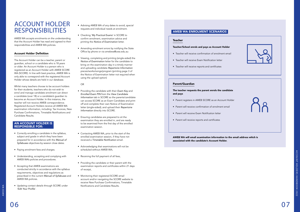



### ACCOUNT HOLDER RESPONSIBILITIES

AMEB WA accepts enrolments on the understanding that the Account Holder has read and agreed to their responsibilities and AMEB WA policies.

### Account Holder Definition

The Account Holder can be a teacher, parent or guardian, school or a candidate who is 18 years or older. An Account Holder is a person who is registered as an Account Holder with AMEB SCORE WA (SCORE). In line with best practice, AMEB WA is only able to correspond with the registered Account Holder whose details are held in our database.

Whilst many teachers choose to be account holders for their students, teachers who do not wish to enrol and manage candidate enrolment can direct a candidate (over 18) or a candidate's guardian to become an Account Holder. In this instance, the teacher will not receive AMEB correspondence. Registered Account Holders receive all AMEB WA examination information, including: Tax Invoices, New Purchase Confirmations, Timetable Notifications and Candidate Results.

### AN ACCOUNT HOLDER IS RESPONSIBLE FOR:

- Correctly enrolling a candidate in the syllabus, subject and grade in which they have been prepared for in accordance with the *Manual of Syllabuses* objectives by session close dates.
- Paying enrolment fees and charges.
- Understanding, accepting and complying with AMEB WA's policies and procedures.
- Accepting that AMEB examinations are conducted strictly in accordance with the syllabus requirements, objectives and regulations as prescribed in the current *Manual of Syllabuses* and AMEB WA policies.
- Updating contact details through SCORE under 'Edit Your Profile'.
- Advising AMEB WA of any dates to avoid, special requests and individual needs at enrolment.
- Checking '*My Practical Exams*' in SCORE to confirm enrolment, examination advice and printing the *Notice of Examination* letter.
- Amending enrolment errors by notifying the State Office by phone or via [amebwa@uwa.edu.au](mailto:amebwa@uwa.edu.au)
- Viewing, completing and printing (single-sided) the *Notice of Examination* letter for the candidate to bring on the examination day in a timely manner and uploading candidate *Repertoire Information*  pieces/works/songs/program (printing page 3 of the Notice of Examination letter not required when using the upload option)

### OR

- Providing the candidate with their *Exam Key* and *Enrolled Exam PIN* from the *View Candidate Information* tab in SCORE so the parents/candidate can access SCORE as an Exam Candidate and print off and complete their own Notice of Examination letter (single-sided); and upload their *Repertoire Information* directly into SCORE.
- Ensuring candidates are prepared to sit the examination they are enrolled in, and are ready to be examined from the first day of the enrolled examination session.
- Contacting AMEB WA, prior to the start of the enrolled examination session, if they have not received a Timetable Notification email.
- Acknowledging that examinations will not be scheduled without AMEB WA;
- Receiving the full payment of all fees,
- Providing the candidate or their parent with the examination reports and certificates within 21 days of receipt,
- Monitoring their registered SCORE email account and/or navigating the SCORE website to receive New Purchase Confirmations, Timetable Notifications and Candidate Results.

### AMEB WA ENROLMENT SCENARIOS

### Teacher

#### Teacher/School enrols and pays as Account Holder

- Teacher will receive confirmation of enrolment email
- Teacher will receive Exam Notification letter
- Teacher will receive reports and certificates

### Parent/Guardian

### The teacher requests the parent enrols the candidate and pays

- Parent registers in AMEB SCORE as an Account Holder
- Parent will receive confirmation of enrolment email
- Parent will receive Exam Notification letter
- Parent will receive reports and certificates

AWEB WA will email examination information to the email address which is associated with the candidate's Account Holder.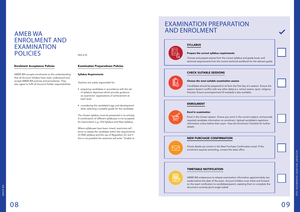



### AMEB WA ENROLMENT AND EXAMINATION POLICIES

### Enrolment Acceptance Policies

AMEB WA accepts enrolments on the understanding that all Account Holders have read, understood and accept AMEB WA policies and procedures. They also agree to fulfil all Account Holder responsibilities

(see p.6).

### Examination Preparedness Policies

#### Syllabus Requirements

Teachers are solely responsible for:

- preparing candidates in accordance with the set of syllabus objectives which provide guidance on examiners' expectations of achievement at each level.
- considering the candidate's age and development when selecting a suitable grade for the candidate.

The chosen syllabus must be presented in its entirety. A combination of different syllabuses is not accepted for examination e.g. Old Syllabus and New Syllabus.

Where syllabuses have been mixed, examiners will strive to assess the candidate within the requirements of ONE syllabus and the use of Regulation 25, but if this is not possible the examiner will write "Unable to

### SYLLABUS

#### Prepare the correct syllabus requirements

Choose and prepare pieces from the correct syllabus and grade book; and technical requirements from the correct technical workbook for the relevant grade.

### CHECK SUITABLE SESSIONS

### Choose the most suitable examination session

Candidates should be prepared to sit from the first day of a session. Ensure the session doesn't conflict with any other dates (i.e. school exams, sport, religious fixtures). Ensure accompaniment (if needed) is also available.

### ENROLMENT

#### Enrol in examination

Enrol in the chosen session. Ensure you enrol in the correct subject; and provide required candidate information on enrolment. Upload candidate's repertoire information online before their exam. View the Enrolment Checklist for further details

### NEW PURCHASE CONFIRMATION

Check details are correct in the New Purchase Confirmation email. If the enrolment requires amending, contact the state office.

### TIMETABLE NOTIFICATION

AMEB WA endeavours to release examination information approximately two weeks before the date of the exam. Account holders must check and forward on the exam notification to candidates/parent, assisting them to complete the

document correctly (print single sided)

### EXAMINATION PREPARATION AND ENROLMENT

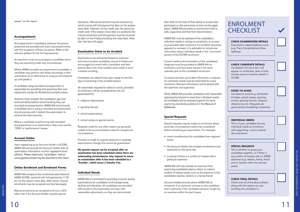assess" on the report.

#### Accompaniment

Accompaniment is mandatory wherever the pieces presented are provided with piano accompaniments, with the exception of Extra List pieces. Refer to the relevant syllabus for the full requirements.

An examiner must not accompany a candidate whom they are examining under any circumstances.

Where AMEB recorded accompaniment is available, a candidate may perform with those recordings in their examination as an alternative to using an accompanist up until grade 3.

A candidate using recorded accompaniment is responsible for providing and operating their own equipment, except for Rockschool and percussion.

Teachers must consider the candidate's age and technical ability before recommending they use recorded accompaniments. AMEB WA recommends a candidate who is using a recorded accompaniment should practise with it before the examination to achieve the best outcome.

Where a candidate is performing with recorded accompaniment in an examination, they must use the '100%' or 'performance' tempo.

### Account Holder

Upon registering as an Account Holder in SCORE, AMEB WA will provide the Account Holder with all examination information via their registered email address. *Please check your 'Junk/Spam' mail as unrecognised emails may be diverted to this inbox.*

- religious observances,
- sporting fixtures,
- school examinations,
- school camps or special events.

### Online Enrolment and Enrolment Forms

AMEB WA accepts online enrolments submitted via AMEB SCORE, received with full payment by 11.59 pm on the session close date. After which, manual enrolments may be accepted and late fees apply.

Manual enrolments are accepted and incur a \$10 admin fee if the Account Holder requires special

assistance. Manual enrolments may be received via email or post with full payment by 4pm on the session close date. Payment can be made over the phone by credit card. If the session close date is a weekend, the manual enrolment and full payment must be received by 4pm on the Friday preceding the close date. After this, late fees will apply.

### Examination Dates to be Avoided

Examinations are scheduled based on examiner and venue location availability. Account Holders are encouraged to consult with a candidate and their parents about the most suitable exam week to enrol in before enrolling.

Candidates are asked to be exam ready on the first day of examining in the enrolled session.

All reasonable requests for dates to avoid, provided at enrolment, will be considered but are not guaranteed for:

Requests made for any other reason are generally unable to be accommodated unless for exceptional circumstances.

Provision is made to request weekend or weekday examinations, though this cannot be guaranteed.

No special request can be accepted after an examination has been scheduled unless there are extenuating circumstances. Any request to move an examination after it has been scheduled is a 'Transfer', which incurs a Transfer Fee.

### ENROLMENT **CHECKLIST**

### Individual Needs

AMEB WA is committed to providing inclusive quality examinations for candidates of all backgrounds, abilities and identities. All candidates are provided with access to the examination process, with reasonable adjustments, so they can demonstrate

their skills to the best of their ability to ensure they participate on the same basis as their similar-aged peers. AMEB WA provides an environment that is safe, supportive and free from discrimination.

AMEB WA must be advised of the candidate's individual needs in writing on enrolment, or as soon as practicable after enrolment if a condition becomes apparent or worsens. It is advisable to include any information about individual needs in the 'comments' section of the SCORE enrolment.

Current medical documentation of the candidate's diagnosis must be provided to AMEB WA on enrolment, and have been issued in the same calendar year as the candidate's enrolment.

To ensure we have up-to-date information, a request for individual needs must be submitted for every enrolment. Relevant information will be shared with the examiner and supervisor.

While AMEB WA provides candidates with reasonable adjustments tailored to meet their individual needs, all candidates will be assessed against the same examining standards published in the *Manual of Syllabuses*.

### Special Requests

Special requests may be made on enrolment where particular circumstances need to be considered before scheduling an examination. For example:

- travel considerations for candidates from regional towns
- the Account Holder has multiple enrolments to be examined on the same day
- to advise if there is a conflict of interest with a particular examiner

AMEB WA will only exclude an examiner from examining candidates where a direct or indirect conflict of interest exists, such as the examiner is the candidate's teacher, relative or a family friend.

Account Holders should advise AMEB WA on enrolment if an examiner is known to the candidate, and in particular if the candidate has been taught by an examiner within the last 2 years.

### CHECK EXAMINATION DETAILS

Examination subject/syllabus name (e.g. Piano Comprehensive New Syllabus).

### CHECK CANDIDATE DETAILS

Candidate's full name (as it will appear on certificate), date of birth, include parent or teacher details in SCORE.

### DATES TO AVOID

List dates to avoid (e.g. scheduled holidays, school camps, sporting events, sporting fixtures, religious observances etc.) Requests are governed by timetabling constraints.

### INDIVIDUAL NEEDS

Tell us if your candidate has any individual needs on enrolment with supporting, current medical documentation.

### SPECIAL REQUESTS

Tell us whether to group your candidates together; or if there is any conflict of interest with an AMEB examiner (e.g. relative, family, friend and or teacher within the last two years).

### CHECK FINAL DETAILS

Check over all of the above details along with the session you are enrolling the candidate in.

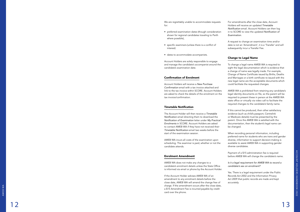We are regrettably unable to accommodate requests for:

- preferred examination dates (though consideration shown for regional candidates traveling to Perth where possible),
- specific examiners (unless there is a conflict of interest)
- dates to accommodate accompanists.

Account Holders are solely responsible to engage and manage the candidate's accompanist around the candidate's examination date.

### Confirmation of Enrolment

Account Holders will receive a *New Purchase*  Confirmation email with a tax invoice attached and link to the tax invoice within SCORE. Account Holders are asked to check the details of the enrolment on the tax invoice/confirmation.

### Timetable Notification

The Account Holder will then receive a *Timetable*  Notification email directing them to download the Notification of Examination letter under *My Practical Enrolments* in SCORE. Account Holders are asked to contact AMEB WA if they have not received their Timetable Notification email two weeks before the start of the examination session.

AMEB WA incurs all costs of the examination upon scheduling. The examiner is paid, whether or not the candidate attends.

### Enrolment Amendment

AMEB WA does not make any changes to a candidate's enrolment details unless the State Office is informed via email or phone by the Account Holder.

If the Account Holder advises AMEB WA of an amendment to any enrolment details before the close date, AMEB WA will amend the change free of charge. If the amendment occurs after the close date, a \$15 Amendment Fee is incurred payable by credit card over the phone.

For amendments after the close date, Account Holders will receive an updated *Timetable*  Notification email. Account Holders can then log in to SCORE to view the updated Notification of *Examination* .

A request to change an examination time and/or date is not an 'Amendment', it is a 'Transfer' and will subsequently incur a Transfer Fee.

### Change to Legal Name

To change a legal name AMEB WA is required to sight the legal documentation which is evidence that a change of name was legally made. For example, Change of Name Certificate issued by Births, Deaths and Marriages or a birth certificate re-issued with the new legal name are the acceptable documents which could facilitate the requested changes.

AMEB WA is prohibited from retaining any candidate's legal identity documents on file, so the parent will be required to present these in person at the AMEB WA state office or virtually via video call to facilitate the required changes to the candidate's family name.

If this cannot be produced, then other satisfactory evidence (such as child's passport, Centrelink or Medicare details) must be presented by the parent. Once the AMEB WA is satisfied with the documentation, then the student's legal name can be changed.

When recording personal information, including preferred name for students who are trans and gender diverse, information to support decision-making is available to assist AMEB WA in supporting gender diverse candidates.

Payment of a \$15 administration fee is required before AMEB WA will change the candidate's name.

*Is it a legal requirement for AMEB WA to record a candidate's sex on enrolment?*

Yes. There is a legal requirement under the Public Records Act 2002 and the Information Privacy Act 2009 that public records are made and kept accurately.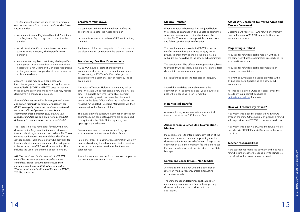The Department recognises any of the following as sufficient evidence for confirmation of a student's sex and/or gender:

- A statement from a Registered Medical Practitioner or a Registered Psychologist which specifies their gender;
- A valid Australian Government travel document, such as a valid passport, which specifies their gender; or
- A state or territory birth certificate, which specifies their gender. A document from a state or territory Registrar of Birth Deaths and Marriages recognising a change of sex and/or gender will also be seen as sufficient evidence.

Account Holders may enrol a candidate who identifies as gender diverse by recording their sex as unspecified in SCORE. AMEB WA does not require these documents on enrolment, however may require documents if a change is requested.

If a candidate has not officially changed their name and sex on their birth certificate or passport, can *AMEB WA legally record the candidate's preferred*  name and affirmed gender on other formal *examination documentation (e.g. examination*  reports, candidate slip and examination schedule) differently to that shown on the birth certificate?

Yes. There is no requirement for formal AMEB WA documentation (e.g. examination records) to record the candidate's legal name and sex. Where AMEB WA receives confirmation that a candidate identifies as gender diverse, there should always be provision for the candidate's preferred name and affirmed gender to be recorded on AMEB WA documentation. This includes the use of the affirmed gender pronoun.

*NB: The candidate details used with AMEB WA should be the same as those recorded on the candidate's school documents to ensure their information uploads to SCSA when required for*  Western Australia's Certificate of Education (WACE; WASSA) purposes.

### Enrolment Withdrawal

If a candidate withdraws the enrolment before the enrolment close date, the Account Holder

or parent is requested to advise AMEB WA in writing via email.

An Account Holder who requests to withdraw before the close date will be refunded the examination fee.

### Transferring Practical Examinations

AMEB WA incurs all costs of providing the examination whether or not the candidate attends. Consequently, a \$55 Transfer Fee is charged to contribute to the additional cost of rescheduling an examination.

A candidate/Account Holder or parent may call or email the State Office requesting a new examination time. If a suitable day/time is available, payment must be made by credit card over the phone or in person at the State Office before the transfer can be finalised. An updated Timetable Notification will then be emailed to the Account Holder.

The availability of a substitute examination time is not guaranteed, but candidates/parents are encouraged to enquire with the State Office regarding new openings in the schedule.

> If the teacher has made the payment and receives a refund, it is the teacher's responsibility to reimburse the refund to the parent, where required.

Examinations may not be transferred 3 days prior to an examination without a medical certificate.

In regional areas, a transfer of an examination will only be available during the relevant examination session or the next examination session within the same calendar year.

A candidate cannot transfer from one calendar year to the next under any circumstance.

### Medical Transfer

When a candidate becomes ill or is injured before the scheduled examination or is unable to attend the scheduled examination on the day, the enroller must advise AMEB WA as soon as possible via telephone and follow up with email confirmation.

The candidate must provide AMEB WA a medical certificate to confirm their illness or injury which prevented them from attending the examination within 21 business days of the scheduled examination.

The candidate will be offered the opportunity, subject to availability, to reschedule the examination to a later date within the same calendar year.

No Transfer Fee applies to facilitate this request.

Should the candidate be unable to resit the examination in the same calendar year, a 50% credit note will be issued valid for 12 months.

### Non-Medical Transfer

A transfer for any other reason is a non-medical transfer that attracts a \$55 Transfer Fee.

### Absence from a Scheduled Examination - Medical

If a candidate fails to attend their examination at the scheduled time and date, and supporting medical documentation *is not provided within 21 days* of the examination date, the enrolment fee will be forfeited. Further consideration is at the discretion of the State Manager.

### Enrolment Cancellation – Non-Medical

A refund cannot be given when the cancellation is for non-medical reasons, unless extenuating circumstances exist.

The State Manager determines applications for extenuating circumstances. Relevant, supporting documentation must be provided with the application.

### AMEB WA Unable to Deliver Services and Cancels Enrolment

Customers will receive a 100% refund of enrolment fees in the event AMEB WA cannot facilitate the examination service.

### Requesting a Refund

Requests for refunds must be made in writing, in the same year that the examination is scheduled, to [amebwa@uwa.edu.au](mailto:amebwa@uwa.edu.au)

Requests for refunds must be accompanied by relevant documentation.

Relevant documentation must be provided within 14 business days if pertaining to a scheduled examination.

For incorrect online SCORE purchases, email the details of your incorrect purchase to [online@ameb.edu.au](mailto:online%40ameb.edu.au?subject=) for a refund.

### How will I receive my refund?

If payment was made by credit card via EFTPOS through the State Office (usually by phone), a refund will be provided via EFTPOS to the same credit card.

If payment was made via SCORE, the refund will be provided via SCORE Financial Services to the same credit card.

### Teacher responsibilities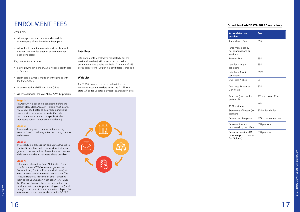### ENROLMENT FEES

### AMEB WA:

- will only process enrolments and schedule examinations after all fees have been paid.
- will withhold candidate results and certificates if payment is cancelled after an examination has been conducted.

#### Payment options include:

- online payment via the SCORE website (credit card or Paypal)
- credit card payments made over the phone with the State Office.
- in person at the AMEB WA State Office
- via TryBooking for the WA AMEB AWARD program

#### $\textsf{Stage 1:}\footnotesize\textcolor{blue}{\bullet}$

#### Late Fees

Late enrolments (enrolments requested after the session close date) will be accepted should an examination time slot be available. A late fee of \$55 per candidate or \$120 per 3-5 candidates is incurred.

### Wait List

AMEB WA does not run a formal wait [list, but](mailto:enquiries.ameb@qed.qld.gov.au)  [welcomes Account](mailto:enquiries.ameb@qed.qld.gov.au) Holders to call the AMEB WA State Office for updates on vacant examination slots.



An Account Holder enrols candidate before the session close date. Account Holders must inform AMEB WA of all dates to be avoided, individual needs and other special requests. (Provide documentation from medical specialist when requesting special needs accommodation).

#### Stage 2:

The scheduling team commence timetabling examinations immediately after the closing date for each session.

#### Stage 3:

The scheduling process can take up to 2 weeks to finalise. Schedulers match demand for instrument groups to the availability of examiners and venues while accommodating requests where possible.

### Stage 4:

Schedulers release the Exam Notification (date, time & location; CCTV Acknowledgement and Consent form; Practical Exams – Music form) at least 2 weeks prior to the examination date. The Account Holder will receive an email, directing them to the Examination Notification letter under 'My Practical Exams', where the information can be shared with parents, printed (single-sided) and brought completed to the examination. Repertoire Information upload now available within SCORE.

### Schedule of AMEB WA 2022 Service fees

| <b>Administrative</b><br>service                                  | Fee                  |
|-------------------------------------------------------------------|----------------------|
| Amendment Fee:                                                    | \$15                 |
| (Enrolment details,<br>not examinations or<br>sessions)           |                      |
| Transfer Fee:                                                     | \$55                 |
| Late fee - single<br>candidate:                                   | \$55                 |
| Late fee - 3 to 5<br>candidates:                                  | \$120                |
| Duplicate Notice:                                                 | \$5                  |
| Duplicate Report or<br>Certificate:                               | \$25                 |
| Searches (past results):<br>before 1991                           | \$Contact WA office  |
| 1991 and after                                                    | \$25                 |
| Statement of Passes (for                                          | $$25 + Search$ Fee   |
| teachers):                                                        |                      |
| Re-mark written paper:                                            | 50% of enrolment fee |
| <b>Enrolment forms</b><br>processed by the office                 | \$10 per form        |
| Rehearsal sessions (45<br>mins free prior to exam<br>for Diploma) | \$30 per hour        |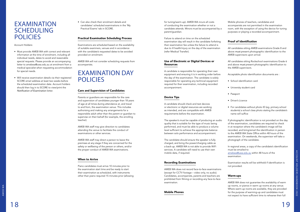### EXAMINATION SCHEDULING POLICIES

Account Holders:

- Must provide AMEB WA with correct and relevant information at the time of enrolment, including all individual needs, dates to avoid and reasonable special requests. Please provide an accompanying letter to [amebwa@uwa.edu.au](mailto:amebwa%40uwa.edu.au?subject=) at enrolment from a medical specialist when requesting accommodation for special needs.
- Will receive examination details via their registered SCORE email address at least two weeks before the scheduled examination date. Account holders should then log in to SCORE to view/print the Notification of Examination letter.

• Can also check their enrolment details and candidates' scheduled examinations in the 'My Practical Exams' tab in SCORE.

### Practical Examination Scheduling Process

Examinations are scheduled based on the availability of suitable examiners, venues and in accordance with the candidate's requested dates to be avoided provided on enrolment.

AMEB WA will not consider scheduling requests from accompanists.

### EXAMINATION DAY POLICIES

### Care and Supervision of Candidates

Parents or guardians are responsible for the care and supervision of candidates younger than 18 years of age at all times during attendance at, and travel to and from, the examination venue. This includes authorising and making any arrangements for a responsible adult other than the parent or guardian to supervise on their behalf (for example, the enrolling teacher).

AMEB WA staff may give direction to candidates attending the venue to facilitate the conduct of examinations or other services.

AMEB WA staff may direct a person to leave the premises at any stage if they are concerned for the safety or wellbeing of the person or others, and/or the proper conduct of AMEB WA examinations.

### When to Arrive

Piano candidates must arrive 10 minutes prior to the examination start time and be ready to start their examination as scheduled, with instruments other than piano required 15 minutes prior (allowing for tuning/warm-up). AMEB WA incurs all costs of conducting the examination whether or not a candidate attends. Minors must be accompanied by a parent/guardian.

Failure to attend on time on the scheduled examination day will result in the candidate forfeiting their examination fee unless the failure to attend is due to ill health/injury on the day of the examination (refer Medical Transfer).

### Use of Electronic or Digital Devices or Resources

A candidate is responsible for operating their own equipment and ensuring it is in working order before the day of the examination. The candidate is solely responsible for operating any technical equipment required for their examination, including recorded accompaniment.

### Device Tips

A candidate should check and test devices or electronic or digital resources are working as intended, and are compatible with AMEB requirements before the examination.

The speaker/s must be capable of producing an audio quality that is suitable for the type of music being performed, and must be able to produce a volume level sufficient to achieve the appropriate balance between solo performance and accompaniment.

The candidate should ensure the speaker is fully charged, and bring the power/charging cable as a back-up. AMEB WA is not able to provide WiFi services. A candidate will need to use their own mobile data, if required.

### Recording Examinations

AMEB WA does not record face-to-face examinations (except for CCTV footage – video only, no audio). Candidates, accompanists, parents and teachers are prohibited from filming or recording any face-to-face examination.

### Mobile Phones

Mobile phones of teachers, candidates and accompanists are not permitted in the examination room, with the exception of using the device for tuning purposes or playing a recorded accompaniment.

### Proof of Identification

All candidates sitting AMEB examinations Grade 8 and above *must* present photographic identification to the AMEB supervisors upon arrival.

All candidates sitting Rockschool examinations Grade 6 and above *must* present photographic identification to the AMEB supervisors.

Acceptable photo identification documents are :

- School identification card
- University student card
- Passport
- Driver's Licence
- For candidates without photo ID (eg. primary school students) a school class photo stating the candidate's name will suffice

If photographic identification is not provided on the day of the examination, candidates are required to check in at reception where the candidate's image will be recorded, and bring/email the identification in person to the AMEB WA State Office within 48 hours of the examination. On weekends, the supervisor will take a photograph of the candidate.

In regional areas, a copy of the candidate's identification must be emailed to [amebwa@uwa.edu.au](mailto:amebwa%40uwa.edu.au?subject=) within 48 hours of the examination.

Examination results will be withheld if identification is not provided.

### Warm-ups

AMEB WA does not guarantee the availability of warm up rooms, or pianos in warm up rooms at any venue. Where warm-up rooms are available, they are provided for the purpose of warming-up and candidates must not expect to have sufficient time to rehearse their full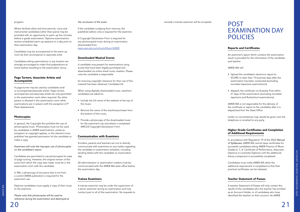AMEB WA AMEB WA

#### program.

Where facilities allow and time permits, voice and instrumental candidates (other than piano) may be provided with an opportunity to warm up five minutes before a grade examination. Diploma examinations receive scheduled warm-up sessions on a day prior to their examination day.

Candidates may be accompanied to the warm-up room by their accompanist or associate artist.

Candidates sitting examinations in any location are strongly encouraged to make final preparations at home before travelling to the examination venue.

### Page Turners, Associate Artists and Accompanists

A page-turner may be used by candidates and/ or accompanists/associate artists. Page turners, accompanists and associate artists are only permitted in the examination room when required. No other person is allowed in the examination room while examinations are in session with the exception of P Plate Assessments.

### Photocopies

In general, the Copyright Act prohibits the use of photocopied music. Photocopies must not be used by candidates in AMEB examinations, unless an exception to copyright applies, or the relevant music publisher has granted permission for the candidate to make a copy.

*Examiners will note the improper use of photocopies on the candidate's report.*

Candidates are permitted to use photocopies for ease of page turning. However, the original version of the score from which the copy was made, must be in the examination room with the candidate.

In WA, a photocopy of any piece that is not from a current AMEB publication is required for the examiner's use.

# EXAMINATION DAY **POLICIES**

Diploma candidates must supply a copy of their music to the examiner.

*Please note that photocopies will be used as reference during the examination and destroyed at* 

#### *the conclusion of the exam.*

If the candidate is playing from memory, the published edition only is required for the examiner.

A Copyright Declaration Form is required for any photocopied music during an examination, downloaded from [www.uwa.edu.au/schools/Music/AMEB](http://www.uwa.edu.au/schools/Music/AMEB)

### Downloaded Musical Scores

A candidate may present for examinations using scores that have been legally purchased and downloaded via online sheet music retailers. Please note the candidate is responsible

for ensuring copyright clearance for their use of this material has been obtained. Candidate1s4

When using digitally downloaded music, teachers/ candidates are asked to:

- Include the full name of the website at the top of the music.
- Remove the name of the teacher/purchaser from the bottom of the music.
- Provide a photocopy of the downloaded music for the examiner's use and attach a completed AMCOS Copyright Declaration Form.

#### Communication with Examiners

Enrollers, parents and teachers are not to directly communicate with examiners on any matter regarding the candidate or examination schedule, including sending letters with the candidate on examination day.

All administration or examination matters must be communicated with the AMEB WA state office before the examination day.

#### Trainee Examiners

A trainee examiner may be under the supervision of a senior examiner during an examination and may conduct part or all of the examination. No requests to

### exclude a trainee examiner will be accepted. **POST**

### Reports and Certificates

An examiner's report which contains the examination result is provided for the information of the candidate and teacher.

AMEB WA will:

- Upload the candidate's electronic report to SCORE no later than 15 business days after the examination has been conducted (excluding recorded repertoire examinations).
- dispatch the certificate via Australia Post within 21 days of the examination (excluding recorded repertoire and Rockschool examinations).

AMEB WA is not responsible for the delivery of the certificate or report to the candidate after it is dispatched from the State Office.

Under no circumstances may results be given over the telephone or emailed to any party.

### Higher Grade Certificates and Completion of Additional Requirements

In accordance with Regulation 19 of the 2022 *Manual*  of Syllabuses, AMEB WA cannot issue certificates for successful candidates sitting AMEB Practice of Music Grades 6, 7, 8, Certificate of Performance, Associate Diploma or Licentiate Diploma until the additional theory component is successfully completed.

Candidates must notify AMEB WA when the additional requirement is completed so that their practical certificates can be released.

### Teacher Statement of Passes

A teacher Statement of Passes will only contain the results of the candidates who the teacher has enrolled as an Account Holder, or of candidates who have identified the teacher on their account. As AMEB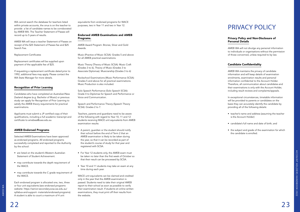AMEB WA

AMEB WA

WA cannot search the database for teachers listed within private accounts, the onus is on the teacher to provide a list of candidate names to be corroborated by AMEB WA. The Teacher Statement of Passes will record up to 5 years of results.

AMEB WA will issue a teacher Statement of Passes on receipt of the \$25 Statement of Passes fee and \$25 Search Fee.

Replacement Certificates

Replacement certificates will be supplied upon payment of the applicable fee of \$25.

If requesting a replacement certificate dated prior to 1992, additional fees may apply. Please contact the WA State Manager for more details.

### Recognition of Prior Learning

Candidates who have completed an Australian/New Zealand degree (e.g. Bachelor of Music) or previous study can apply for Recognition of Prior Learning to satisfy the AMEB theory requirements for practical examinations.

Applicants must submit a JP certified copy of their qualifications, including a full academic transcript and certificate to [amebwa@uwa.edu.au](mailto:amebwa@uwa.edu.au)

### AMEB Endorsed Programs

Selected AMEB Examinations have been approved as endorsed programs. All endorsed programs successfully completed and reported to the Authority by the school:

- are listed on the student's Western Australian Statement of Student Achievement.
- may contribute towards the depth requirement of the WACE.
- may contribute towards the C grade requirement of the WACE.

Each endorsed program is allocated one, two, three or four unit equivalents (see endorsed programs website: [https://senior-secondary.scsa.wa.edu.au/](mailto:enquiries.ameb@qed.qld.gov.au) [syllabus-and-support-](mailto:enquiries.ameb@qed.qld.gov.au) materials/endorsed-programs). A student is able to count a maximum of 4 unit

WACE unit equivalents can be claimed and credited only in the year that the AMEB examination is passed. Students need to take their original AMEB report to their school as soon as possible to verify their examination result. If students sit online written examinations, they must print off their results from the website.

equivalents from endorsed programs for WACE purposes, two in Year 11 and two in Year 12.

### Endorsed AMEB Examinations and AMEB Programs.

AMEB Award Program: Bronze, Silver and Gold Awards.

Music (Practice of Music SCSA): Grades 5 and above for all AMEB practical examinations.

Music Theory (Theory of Music SCSA): Music Craft (Grades 3 to 6), Theory of Music (Grades 3 to Associate Diplomas). Musicianship (Grades 3 to 6)

Rockschool Examinations (Music Performance SCSA): Grades 5 and above for all practical examinations. Music Production is also included.

Solo Speech Performance (Solo Speech SCSA): Grade 4 to Diplomas for Speech and Performance or Voice and Communication.

Speech and Performance Theory (Speech Theory SCSA): Grades 2 to 7.

Teachers, parents and guardians need to be aware of the following with regard to Year 10, 11 and 12 students receiving WACE unit equivalents from AMEB examination results:

- A parent, guardian or the student should notify their school before the end of Term 2 that an AMEB examination is likely to be taken during the year, so that it can be recorded as part of the student's course of study for that year and registered with SCSA.
- For Year 12 students only, the AMEB exam must be taken no later than the first week of October so that their result can be processed by SCSA.
- Year 10 and 11 students may take an exam at any time during each year.

### PRIVACY POLICY

### Privacy Policy and Non-Disclosure of Personal Details

AMEB WA will not divulge any personal information to individuals or organisations without the permission of those concerned, unless required to by law.

### Candidate Confidentiality

AMEB WA maintains the privacy of candidate information and will keep details of examination enrolments, examination results and personal information confidential to the Account Holder. Therefore, all communication about candidates and their examinations is only with the Account Holder, including result reviews and complaints/appeals.

In exceptional circumstances, timetable information will be provided to parents or candidates on the basis they can accurately identify the candidate by providing all of the following details:

- teacher's name and address (assuming the teacher is the Account Holder)
- candidate's full name and date of birth; and
- the subject and grade of the examination for which the candidate is enrolled.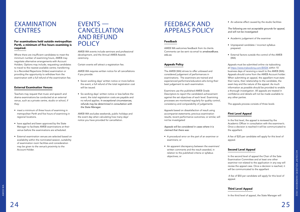### EXAMINATION **CENTRES**

### For examinations held outside metropolitan Perth, a minimum of five hours examining is required.

Where there are insufficient candidates to meet the minimum number of examining hours, AMEB may negotiate alternative arrangements with Account Holders. Options may include; requesting candidates to travel to the nearest available centre; transferring to a Recorded Repertoire (Video) examination or providing the opportunity to withdraw from the examination with a full refund of the examination fee.

### External Examination Venues

### [EVENTS —](mailto:enquiries.ameb@qed.qld.gov.au)  [CANCELLATION](mailto:enquiries.ameb@qed.qld.gov.au)  AND REFUND **POLICY**

Teachers may request that music and speech and drama examinations be conducted at an external venue, such as a private centre, studio or school, if they:

AMEB WA requires written notice for all cancellations if you provide:

- meet a minimum of three hours of examining in metropolitan Perth and five hours of examining in regional locations.
- have applied and been approved by the State Manager to facilitate AMEB examinations at their venue before the examinations are scheduled.
- External examination venues are selected based on availability within the nominated session, suitability of examination room facilities and consideration may be given to the venue's proximity to the Account Holder.

AMEB WA events include seminars and professional development, and the Annual AMEB Awards ceremony.

Certain events will attract a registration fee.

- Seven working days' written notice or more before the event, a full refund of the total registration cost will be issued.
- Six working days' written notice or less before the event, the total registration costs are payable and no refund applies. In exceptional circumstances, *refunds may be determined in consultation with the State Manager.*

AMEB WA excludes weekends, public holidays and the event day when calculating how many days' notice you have provided for cancellation.

### FEEDBACK AND APPEALS POLICY

### Feedback

AMEB WA welcomes feedback from its clients. Comments can be sent via email to *amebwa@uwa. edu.au*

### Appeals Policy

The AMEB (WA) strives to offer unbiased and considered judgement of performances in examinations. The examiners are trained and experienced performers/educators who bring their best judgement to each examination.

Examiners use the published AMEB Grade Descriptors to report the candidate's achievement against the set objectives of each level. Examining processes are monitored regularly for quality control, consistency and comparability of judgements

Appeals based on dissatisfaction of result using accompanist statements; previous examination results; recent performance outcomes; or similar, will not be investigated

*Appeals will be considered in cases where it is claimed that there was:*

- A procedural error on the part of an examiner or examiners; or
- An apparent discrepancy between the examiners' written comments and the result awarded, in relation to the published criteria or syllabus objectives; or

• An adverse effect caused by the studio facilities

The following are not acceptable grounds for appeal, *and will not be investigated:*

- Academic judgement of the examiner
- Unprepared candidate / incorrect syllabus prepared.
- External factors outside the control of the AMEB (WA)

Appeals must be submitted online via trybooking at <https://www.trybooking.com/BXSIK>within 10 business days of receiving a result to the AMEB (WA). Appeals should come from the AMEB Account holder. When submitting an appeal, the appellant must state their name, their relationship to the candidate, the exam key and the nature of the appeal. As much information as possible should be provided to enable a thorough investigation. All appeals are treated in confidence and details will not be made available to any other parties.

The appeals process consists of three levels

### First Level Appeal

In the first level, the appeal is reviewed by the Academic Officer in consultation with the examiner/s. Once a decision is reached it will be communicated to the appellant.

A fee of \$20 per candidate will apply for this level of appeal.

### Second Level Appeal

In the second level of appeal the Chair of the Sate Examination Committee and at least one other examiner not related to the application in any way will review the appeal case. Once a decision is reached, it will be communicated to the appellant

 A fee of \$50 per candidate will apply for this level of appeal.

### Third Level Appeal

In the third level of appeal, the State Manager will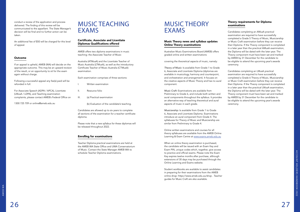conduct a review of the application and process delivered. The finding of this review will be communicated to the appellant. The State Manager's decision will be final and no further action can be taken.

An additional fee of \$50 will be charged for this level of appeal.

#### Outcome

If an appeal is upheld, AMEB (WA) will decide on the appropriate outcome. This may be an upward revision of the result, or an opportunity to sit for the exam again without charge.

Following a successful appeal any fee(s) paid will be refunded in full.

For Associate Speech (ADPA / APCA), Licentiate (LMusA / LDPA), and Teaching examination complaints, please contact AMEB's Federal Office on

1300 725 709 or [online@ameb.edu.au](mailto:online@ameb.edu.au)

### MUSIC TEACHING EXAMS

### Certificate, Associate and Licentiate Diplomas Qualifications offered

AMEB offers two diploma examinations in music teaching: the Associate Teacher of Music

Australia (ATMusA) and the Licentiate Teacher of Music Australia (LTMusA), as well as the introductory Certificate Teacher of Music Australia (CTMusA) examination.

Each examination comprises of three sections:

- I. Written examination
- II. Resource folio
- III. (a) Practical examination

(b) Evaluation of the candidate's teaching.

Candidates are allowed up to six years to complete all sections of the examination for a teacher certificate diploma.

Please note that a new syllabus for these diplomas will be released throughout 2022.

### Enrolling for examinations

Teacher Diploma practical examinations are held at the AMEB WA State Office and UWA Conservatorium of Music. Contact the State Manager AMEB WA to schedule Teacher Diploma examinations.

### MUSIC THEORY EXAMS

### Music Theory news and syllabus updates Online Theory examinations

Australian Music Examinations Board (AMEB) offers graded online and written examinations

covering the theoretical aspects of music, namely:

*Theory of Music:* Is available from Grade 1 to Grade 6, Associate and Licentiate Diploma (diplomas are available in musicology, harmony and counterpoint, and orchestration and arrangement). It focuses on the creative aspects of Music Theory and has no aural component.

*Music Craft:* Examinations are available from Preliminary to Grade 6, and include both written and aural components throughout the syllabus. It provides an alternative way of teaching theoretical and aural aspects of music in each grade.

*Musicianship:* Is available from Grade 1 to Grade 6, Associate and Licentiate Diploma. Examinations introduce an aural component from Grade 4. The syllabuses for Theory of Music and Musicianship are similar from Preliminary to Grade 4.

Online written examinations and courses for all theory syllabuses are available from the AMEB Online Learning & Exam Centre at [www.exams.ameb.edu.au](http://www.exams.ameb.edu.au/)

When an online theory examination is purchased, the candidate will be issued with an Exam Key and Exam PIN, unique codes which, together, give access to practice and official exams. Please note the Exam Key expires twelve months after purchase, although extensions of 30 days may be purchased through the Online Learning and Exams website.

Student workbooks are available to assist candidates in preparing for their examinations from the AMEB online shop: [https://www.ameb.edu.au/shop](http://www.ameb.edu.au/shop) . Teacher guides for Music Craft are also available.

### Theory requirements for Diploma examinations

Candidates completing an AMusA practical examination are required to have successfully completed a Grade 5 Theory of Music, Musicianship or Music Craft examination before they can receive their Diploma. If the Theory component is completed in a later year than the practical AMusA examination, the Diploma will be dated with the later year. The Theory component must have been sat and marked by AMEB by 31 December for the candidate to be eligible to attend the upcoming year's awards ceremony.

Candidates completing an LMusA practical examination are required to have successfully completed a Grade 6 Theory of Music, Musicianship or Music Craft examination before they can receive their Diploma. If the Theory component is completed in a later year than the practical LMusA examination, the Diploma will be dated with the later year. The Theory component must have been sat and marked by AMEB by 31 December for the candidate to be eligible to attend the upcoming year's awards ceremony.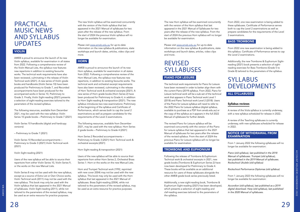### PRACTICAL MUSIC NEWS AND SYLLABUS **UPDATES**

### **VIOLIN**

AMEB is proud to announce the launch of its new Violin syllabus, available for examination in all states from 2022. Following a comprehensive review of the Violin Manual Lists, the syllabus now features new repertoire in addition to existing favourite works. The technical work requirements have also been reviewed, culminating in the release of Violin Technical work (2021). A new series of Violin grade books and handbooks (Violin Series 10) have been produced for Preliminary to Grade 7, and Recorded accompaniments have been produced for the accompanied works in Series 10, Preliminary to Grade 3. Finally, Violin Sight-reading (2021) presents a selection of sight-reading exercises tailored to the parameters of the revised syllabus.

The following resources, available from December 2021, may be used with the new syllabus: Violin Series 10 grade books – Preliminary to Grade 7 (2021)

Violin Series 10 handbooks (digital and hardcopy versions)

– Preliminary to Grade 7 (2021)

Violin Series 10 Recorded accompaniments – Preliminary to Grade 3 (2021) Violin Technical work (2021)

Violin Sight-reading (2021)

Users of the new syllabus will be able to source their repertoire from either Violin Series 10, Violin Series 9, or the works on the new Manual Lists.

Violin Series 8 may not be used with the new syllabus, except as a source of Extra List or Own Choice works. Violin Technical work (2011) may not be used with the new syllabus. This book may only be used with the Violin syllabus that last appeared in the 2021 Manual of syllabuses. Violin Sight-reading (2011), while not tailored to the parameters of the revised syllabus, may be used as an extra resource for practice purposes.

The new Violin syllabus will be examined concurrently with the version of the Violin syllabus that last appeared in the 2021 Manual of syllabuses for two years after the release of the new syllabus. From the start of 2024 the previous Violin syllabus will no longer be available for examination.

Please visit [www.ameb.edu.au](http://www.ameb.edu.au/) for up-to-date information on the new syllabus & publications, state workshops and launch dates, articles, video clips and more.

### **HORN**

AMEB is proud to announce the launch of its new Horn syllabus, available for examination in all states from 2022. Following a comprehensive review of the Horn Manual Lists, the syllabus now features new repertoire, in addition to existing favourite works. The technical work and orchestral excerpt requirements have also been reviewed, culminating in the release of Horn Technical work & orchestral excerpts (2021). A new series of Horn grade books (Horn Series 2) have been produced for Preliminary to Grade 4, in addition to Horn Sight-reading & transposition (2021). The new syllabus introduces two new examinations: Preliminary at the beginning of the syllabus and Certificate of Performance, which serves both to cap the Level 2 examinations as well as prepare candidates for the requirements of the Level 3 examinations.

The following resources, available from December 2021, may be used with the new syllabus: Horn Series 2 grade books – Preliminary to Grade 4 (2021)

Horn Series 2 Recorded accompaniments – Preliminary to Grade 3 (2021) Horn Technical work & orchestral excerpts (2021)

### NOTICE OF WITHDRAWAL FROM **EXAMINATION**

Horn Sight-reading & transposition (2021)

Users of the new syllabus will be able to source their repertoire from either Horn Series 2, Orchestral Brass Series 1: Horn or the works on the new Manual Lists.

Horn and Trumpet Technical work (1992, reprinted with new cover 2004) may not be used with the new syllabus. This book may only be used with the Horn syllabus that last appeared in the 2021 Manual of syllabuses. Brass Sight-reading (2004), while not tailored to the parameters of the revised syllabus, may be used as an extra resource for practice purposes.

The new Horn syllabus will be examined concurrently with the version of the Horn syllabus that last appeared in the 2021 Manual of Syllabuses for two years after the release of the new syllabus. From the start of 2024 the previous Horn syllabus will no longer be available for examination.

Please visit [www.ameb.edu.au](http://www.ameb.edu.au/) for up-to-date information on the new syllabus & publications, state workshops and launch dates, articles, video clips and more.

### REVISED SYLLABUSES

### PIANO FOR LEISURE

The technical work requirements for Piano for Leisure have been reviewed in order to better align them with the current Piano (2019) syllabus. From 2022, Piano for Leisure technical work will be a sub-set of the technical work that appears in Piano Technical work Level 1 (2018) and Piano Technical work Level 2 (2018). Users of the Piano for Leisure syllabus will need to refer to the 2022 Piano for Leisure syllabus (digital syllabus, available to purchase as a PDF from ameb.edu.au) or the copy of the syllabus as it appears in the full 2022 Manual of syllabuses for further details.

The revised Piano for Leisure syllabus will be examined concurrently with the version of the Piano for Leisure syllabus that last appeared in the 2021 Manual of syllabuses for two years after the release of the revised syllabus. From the start of 2024 the previous Piano for Leisure syllabus will no longer be available for examination.

### TROMBONE AND EUPHONIUM

Following the release of Trombone & Euphonium Technical work & orchestral excerpts in 2021, new grade books (Trombone & Euphonium Series 2) have now been developed for Preliminary to Grade 4. These books will be available as an additional resource for users of these syllabuses alongside the other AMEB grade book series previously listed.

Additionally, a new sight-reading book, Trombone & Euphonium Sight-reading (2021) has been developed, which presents a selection of sight-reading and clef-reading exercises tailored to the parameters of the syllabus.

From 2022, one new examination is being added to these syllabuses. Certificate of Performance serves both to cap the Level 2 examinations as well as prepare candidates for the requirements of the Level 3 examinations.

### BASS TROMBONE

From 2022 one new examination is being added to this syllabus. Certificate of Performance serves to cap the Level 2 examinations.

Additionally, the new Trombone & Euphonium Sightreading (2021) book presents a selection of sightreading exercises for Bass Trombone (Grade 5 to Grade 8) tailored to the parameters of the syllabus.

### SYLLABUS DEVELOPMENTS ALL SYLLABUSES

### Syllabus reviews

A review of the Viola syllabus is currently underway, with a new syllabus scheduled for release in 2022.

A review of the Teaching syllabuses is currently underway, with new syllabuses scheduled for release in 2022.

From 1 January 2022 the following syllabuses will no longer be available for examination:

Piano (old syllabus), last published in the 2018 Manual of syllabuses. Trumpet (old syllabus), *last published in the 2019 Manual of syllabuses.*  Rockschool Ukulele (old syllabus)

Rockschool Performance Diplomas (old syllabus)

From 1 January 2023 the following syllabuses will no longer be available for examination:

Accordion (old syllabus), last published as a 2019 digital download. Harp (old syllabus), last published *in the 2020 Manual of syllabuses.*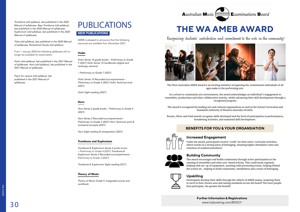



Trombone (old syllabus), last published in the 2020 Manual of syllabuses. Bass Trombone (old syllabus), *last published in the 2020 Manual of syllabuses.*  Euphonium (old syllabus), last published in the 2020 *Manual of syllabuses.*

Tuba (old syllabus), last published in the 2020 Manual of syllabuses. Rockschool Vocals (old syllabus)

From 1 January 2024 the following syllabuses will no longer be available for examination:

Violin (old syllabus), last published in the 2021 Manual of syllabuses. Horn (old syllabus), last published in the *2021 Manual of syllabuses.*

Piano for Leisure (old syllabus), last *published in the 2021 Manual of syllabuses.*

### PUBLICATIONS NEW PUBLICATIONS

AMEB is pleased to announce that the following resources are available from December 2021:

### Violin

*Violin Series 10 grade books – Preliminary to Grade*  7 (2021) Violin Series 10 handbooks (digital and hardcopy versions)

– Preliminary to Grade 7 (2021)

*Violin Series 10 Recorded accompaniments –*  Preliminary to Grade 3 (2021) Violin Technical work (2021)

Violin Sight-reading (2021)

### Horn

*Horn Series 2 grade books – Preliminary to Grade 4*  (2021)

*Horn Series 2 Recorded accompaniments –*  Preliminary to Grade 3 (2021) Horn Technical work & orchestral excerpts (2021)

Horn Sight-reading & transposition (2021)

### Trombone and Euphonium

*Trombone* & *Euphonium Series 2* grade books – Preliminary to Grade 4 (2021) *Trombone* & *Euphonium Series 2 Recorded accompaniments* – Preliminary to Grade 3 (2021)

*Trombone* & *Euphonium Sight-reading* (2021)

### Theory of Music

*Theory of Music Grade 5: Integrated course and workbook*

# **A**ustralian **M**usic



The West Australian AMEB Award is an exciting initiative recognising the commitment individuals of all ages make to the performing arts.

In a school or community arts environment, the award acknowledges an individual's engagement in ensembles, productions and other collaborative activity, whilst advancing their skill development through a recognised program.

The award is recognised by leading arts and cultural organisations as well as the School Curriculum and Standards Authority of Western Australia (SCASA).

Bronze, Silver and Gold awards recognise skills developed and the level of participation in performances, broadening activities, and examined skill development.

Recognising students' contribution and commitment to the arts in the community!





### **Upskilling**

**Increased Engagement** Under the award, participants receive 'credit' for their extra-curricular activities, which results in a strong sense of belonging, meaning higher attendance rates and retention of students/members!

The award encourages and builds community through active participation in the running of ensembles and other arts-based activity. This could mean regularly helping with set-up of equipment, assisting with promoting events, helping behind the scenes etc., helping to build community-mindedness and a sense of belonging.



Participants develop their skills through the vehicle of AMEB exams, inspiring them to excel in their chosen area and raising standards across the board! The more people that participate, the greater the benefit!

### **BENEFITS FOR YOU & YOUR ORGANSIATION**

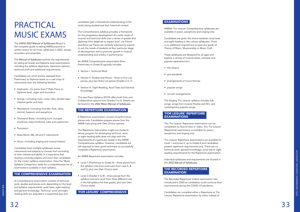AMEB WA

AMEB WA

# PRACTICAL MUSIC EXAMS

The AMEB *2022 Manual of Syllabuses* (Music) is the complete guide to taking AMEB practical or written exams for all music syllabuses in 2022, except accordion and ensemble.

The *Manual of Syllabuses* outlines the requirements for taking all Grade and Diploma level examinations including the syllabus objectives, repertoire options, technical work and additional requirements.

Candidates can enrol and be assessed from Preliminary to Diploma levels on a vast array of instruments from the following families:

- Keyboard— for piano from P Plate Piano to Diploma level, organ and accordion
- Strings—including violin, viola, cello, double bass, classical guitar and harp
- Woodwind—including recorder, flute, oboe, clarinet, bassoon and saxophone
- Orchestral Brass—including horn, trumpet, trombone, bass trombone, tuba and euphonium
- Percussion
- Brass Band—Bb, Eb and C instruments
- Voice—including singing and musical theatre.

Candidates have multiple syllabuses across instruments and subjects to choose from according to their interest and ability. It is imperative that teachers correctly prepare and enrol their candidates for the correct syllabus examination. View the 'Music Syllabus Comparison' table for a comprehensive list of examinations available in each syllabus.

### THE COMPREHENSIVE EXAMINATION

A Comprehensive examination consists of technical work, studies and pieces and, depending on the level and syllabus requirements, aural tests, sight-reading and general knowledge. Technical, aural and sightreading skills are acquired in a sequential way and

candidates gain a theoretical understanding of the works being studied and their historical context.

The Comprehensive syllabus provides a framework for the progressive development of a wide range of musical and technical skills over a series of grades and diplomas from beginner to expert level. List Pieces and Extra List Pieces are carefully selected by experts to suit the needs of students at their particular stage of development and to promote growth in musical understanding and artistry in performance.

- the classics
- jazz standards
- arrangements of movie themes
- popular songs
- concert arrangements.

### 'FOR LEISURE' REPERTOIRE **EXAMINATIONS**

An AMEB Comprehensive examination (from Preliminary to Grade 8) typically includes:

- Section I. Technical Work
- Section II. Studies and Pieces three or four List pieces, plus two Extra List pieces (Grades 2 to 7)
- Section III. Sight Reading, Aural Tests and General Knowledge.

The new Piano Syllabus (2019) offers both Solo and Collaborative options from Grades 5 to 8. Details can be found in the *2022 Music Manual of Syllabuses.*

### THE REPERTOIRE EXAMINATION

A Repertoire examination consists of performance pieces only. Candidates prepare pieces from the AMEB Lists along with Own Choice options.

The Repertoire examination might suit students whose program for developing technical, aural or sight-reading skills does not align with the requirements of a particular Grade in the AMEB Comprehensive syllabus. However, candidates are still required to have good technique to successfully complete a Repertoire examination.

An AMEB Repertoire examination includes:

- Level 1 (Preliminary to Grade 4) three pieces from the syllabus Lists (one work each from Lists A, B and C), plus one Own Choice work
- Level 2 (Grades 5 to 8) three pieces from the syllabus Lists (one work from three different Lists in the full syllabus for that grade), plus two Own Choice works.

'FOR LEISURE' COMPREHENSIVE

### EXAMINATIONS

AMEB's 'For Leisure' Comprehensive syllabuses are available in piano, saxophone and singing only.

Candidates are given the choice between aural tests and sight-reading in the Leisure syllabuses. There is no additional requirement to pass any grade of Theory of Music, Musicianship or Music Craft.

These syllabuses are designed for all ages and explore a variety of musical tastes, interests and popular repertoire from:

The Singing 'For Leisure' syllabus includes folk songs, songs from musical theatre and film, and contemporary popular songs.

The 'For Leisure' Repertoire examination can be completed via face-to-face or video. The 'For Leisure' (Repertoire) examination is available for piano, saxophone and singing only.

'For Leisure' Repertoire examinations are available for Level 1 and Level 2, up to Grade 8 and candidates present repertoire requirements only. There are no technical work, general knowledge, aural test or sightreading requirements for the Repertoire examination.

Individual syllabuses and requirements are located in the *2022 Manual of Syllabuses.*

### THE RECORDED REPERTOIRE EXAMINATION

The Recorded Repertoire (video) examination was introduced in 2020 so candidates could continue their examinations during the COVID-19 pandemic.

Candidates can complete either a Repertoire or 'For Leisure' Repertoire examination by video instead of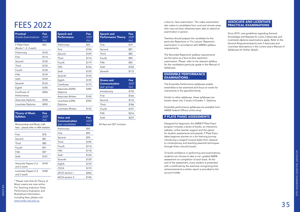| Practical<br><b>Grade Examinations</b> | Fee<br>(GST)<br>lnc) |
|----------------------------------------|----------------------|
| P Plate Piano<br>(Books 1, 2, 3 each)  | \$52                 |
| Preliminary                            | \$105                |
| First                                  | \$110                |
| Second                                 | \$120                |
| Third                                  | \$125                |
| Fourth                                 | \$130                |
| Fifth                                  | \$139                |
| Sixth                                  | \$149                |
| Seventh                                | \$165                |
| Eighth                                 | \$185                |
| Certificate of<br>Performance          | \$206                |
| Associate Diploma                      | \$330                |
| Licentiate Diploma                     | \$450                |

| <b>Theory of Music</b> | <b>Fee</b>   |
|------------------------|--------------|
| <b>Syllabus</b>        | (GST         |
|                        | $ nc\rangle$ |

Musicianship and Music craft fees - please refer to WA website

| First                                 | \$78  |
|---------------------------------------|-------|
| Second                                | \$81  |
| Third                                 | \$85  |
| Fourth                                | \$91  |
| Fifth                                 | \$97  |
| Sixth                                 | \$101 |
|                                       |       |
| Associate Papers (1,2<br>and 3 each)  | \$140 |
| Licentiate Papers (1,2<br>and 3 each) | \$180 |
|                                       |       |

\* Please note that all Theory of Music exams are now online. For Teaching Induction Tests, Performance Evaluation and Rockschool Information, including fees, please visit [www.ameb.uwa.edu.au](http://www.ameb.uwa.edu.au)

Speech and

Fee

**FEES 2022**<br>a face-to- face examination. The video examination<br>also caters to candidates from rural and remote area also caters to candidates from rural and remote areas who may not have otherwise been able to attend an examination in person.

| <b>Performance</b>           | (GST<br>$\overline{\text{Inc}}$ |
|------------------------------|---------------------------------|
| Preliminary                  | \$93                            |
| First                        | \$104                           |
| Second                       | \$109                           |
| Third                        | \$114                           |
| Fourth                       | \$119                           |
| Fifth                        | \$124                           |
| Sixth                        | \$129                           |
| Seventh                      | \$134                           |
| Eighth                       | \$139                           |
| Certificate                  | \$175                           |
| Associate (ASPA)<br>Diploma  | \$305                           |
| Associate Written            | \$140                           |
| Licentiate (LSPA)<br>Diploma | \$355                           |
| Licentiate Written           | \$135                           |

| Voice and<br>Communication<br>(per candidate) | Fee<br>(GST<br>lnc) |  |  |
|-----------------------------------------------|---------------------|--|--|
| Preliminary                                   | \$93                |  |  |
| First                                         | \$93                |  |  |
| Second                                        | \$93                |  |  |
| Third                                         | \$109               |  |  |
| Fourth                                        | \$114               |  |  |
| Fifth                                         | \$118               |  |  |
| Sixth                                         | \$124               |  |  |
| Seventh                                       | \$129               |  |  |
| Eighth                                        | \$139               |  |  |
| CVCA                                          | \$170               |  |  |
| AVCA section I                                | \$260               |  |  |
| <b>AVCA</b> section II                        | \$145               |  |  |

| <b>Speech and</b><br><b>Performance Theory</b> | Fee<br>(GST)<br>lnc) |
|------------------------------------------------|----------------------|
| First                                          | \$79                 |
| Second                                         | \$81                 |
| Third                                          | \$85                 |
| Fourth                                         | \$90                 |
| Fifth                                          | \$95                 |
| Sixth                                          | \$100                |
| Seventh                                        | \$115                |

| Drama and<br><b>Communication</b><br>(per group) | Fee<br>(GST)<br>lnc) |
|--------------------------------------------------|----------------------|
| Introductory                                     | \$155                |
| First                                            | \$166                |
| Second                                           | \$176                |
| Third                                            | \$186                |
| Fourth                                           | \$197                |
| Fifth                                            | \$216                |
| Sixth                                            | \$237                |

All fees are GST inclusive

Teachers should prepare the candidate for the particular Repertoire or 'For Leisure' Repertoire examination in accordance with AMEB's syllabus requirements.

The Recorded Repertoire syllabus requirements are the same as a face-to-face repertoire examination. Please refer to the relevant syllabus for the candidate's particular grade in the Manual of Syllabuses.

### ENSEMBLE PERFORMANCE EXAMINATIONS -

The Ensemble Performance syllabuses enable ensembles to be examined and focus on works for instruments in the specified family.

Similar to other syllabuses, these syllabuses are broken down into 3 levels of Grades 1– Diploma.

Ensemble performance syllabuses are available from AMEB Federal Office's online shop

### P PLATE PIANO ASSESSMENTS

Designed for beginners, the AMEB P Plate Piano program includes a series of books, an interactive website, online teacher support and the option for student assessments and awards. P Plate Piano takes beginner pianists on a fun learning journey, introducing a rangeof musical styles from classical to contemporary and teaching essential techniques through three colourful books.

To build confidence in performing and examinations, students can choose to take a non- graded AMEB assessment on completion of each book. At the end of the assessment, every student is presented with a certificate by the examiner recognising their achievementand a written report is provided to the account holder.

### ASSOCIATE AND LICENTIATE PRACTICAL EXAMINATIONS

Since 2019, new guidelines regarding General Knowledge and Repeats for Level 3 (Associate and Licentiate) diploma examinations apply. Refer to the General Requirements and Level 3 Associate and Licentiate descriptions in the current year's Manual of Syllabuses for further details.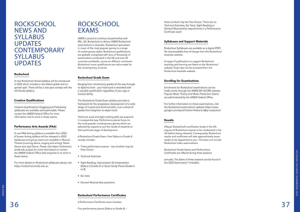### **ROCKSCHOOL** NEWS AND SYLLABUS UPDATES **CONTEMPORARY** SYLLABUS UPDATES

### Rockschool

A new Rockschool Vocals syllabus will be introduced in 2022 which includes a new Debut grade and no gender split. There will be a one-year overlap with the old Vocals syllabus.

### Creative Qualifications

Creative Qualifications Vlogging and Podcasting syllabuses are available and examinable. Please contact the AMEB Federal Office for more information and to enrol in these exams.

### **ROCKSCHOOL** EXAMS

### Performance Arts Awards (PAA)

A new PAA Acting syllabus is available from 2022. A Screen Acting syllabus will be released in 2022. Syllabuses and group exams are available in Musical Theatre (covering dance, singing and acting), Street Dance and Jazz Dance. Please visit https://rockschool. ameb.edu.au/paa for more information or contact the AMEB Federal Office with enquiries or to enrol in these exams.

For more details on Rockschool syllabuses please visit [https://rockschool.ameb.edu.au](https://rockschool.ameb.edu.au/)

A Performance Certificate exam includes:<br>
Since performance City (Polyutto Grade 8) A Performance Certificate exam includes:

AMEB is proud to continue its partnership with RSL, UK, Rockschool to deliver AMEB Rockschool examinations in Australia. Rockschool specialises in music of the most popular genres in a range of contemporary styles. Rockschool qualifications are globally recognised with tens of thousands of examinations conducted in the UK and over 40 countries worldwide, across six different continents. Rockschool music qualifications are tailor-made for the contemporary musician.

### Rockschool Grade Exam

Ranging from introductory grades all the way through to diploma level - your hard work is rewarded with a valuable qualification regardless of your age or musical ability.

The Rockschool Grade Exam syllabus provides a framework for the progressive development of a wide range of musical and technical skills, over a series of grades from beginner to expert level.

Technical, aural and sight-reading skills are acquired in a sequential way. Performance pieces focus on the most popular contemporary genres which are selected by experts to suit the needs of students at their particular stage of development.

A Rockschool Grade Exam, from Debut to Grade 8, usually includes:

- Three performance pieces two of which may be Free Choice
- Technical Exercises
- Sight-Reading, Improvisation & Interpretation (Debut to Grade 5) or Quick Study Pieces (Grade 6 to 8)
- Ear tests
- General Musicianship questions.

### Rockschool Performance Certificates

Five performance pieces (Debut to Grade 8) –

three of which may be Free Choice. There are no Technical Exercises, Ear Tests, Sight-Reading or General Musicianship requirements in a Performance Certificate exam

### Syllabuses and Support Materials

Rockschool Syllabuses are available as a digital (PDF) file downloadable free-of-charge from the Rockschool Australia website.

A range of publications to support Rockschool teaching and learning are listed on the Rockschool website. Exam tips can be accessed from the Rockschool Australia website.

### Enrolling for Examinations

Enrolments for Rockschool examinations can be made online through the AMEB WA SCORE website. Popular Music Theory and Music Production Exams are administered by the AMEB Federal Office.

For further information on these examinations, visit the Rockschool examination's website https://www. google.com/search?client=firefox-b-d&q=rockschool

### Results

Ofqual, Rockschool's certification body in the UK, require all Rockschool reports to be moderated in the UK before being released. Consequently, Rockschool results and certificates will take approximately seven weeks to be dispatched to you. This does not include Rockschool video examinations.

Rockschool Grade Exams and Performance Certificates are offered during three sessions

annually. The dates of these sessions can be found in the 2022 Examination Timetable.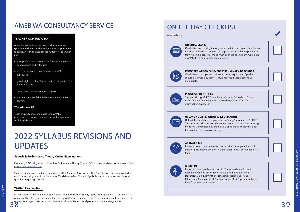# 2022 SYLLABUS REVISIONS AND UPDATES

### Speech & Performance Theory Online Examinations

From early 2022, all grades of Speech & Performance Theory (Grades 1-7) will be available as online exams from [www.exams.ameb.edu.au](http://www.exams.ameb.edu.au/).

Online examinations use the syllabus in the 2022 *Manual of Syllabuses.* The Phonetic Symbols are provided for candidates in all grades in online exams. Candidates select Phonetic Symbols from a palette accessible for all questions requiring phonetics.

38 39 offered as a paper- based exam – please see below for by request diploma enrolment arrangements. In 2022 there will be no paper-based Speech and Performance Theory grade exams (Grades 1-7) available. All grades will be offered in the online format. The written section of applicable diploma exams will continue to be

#### Written Examinations

#### ORIGINAL SCORE

Candidates are to bring the original score into their exam. Candidates may use photocopies for ease of page turning but the original music from which the copy was made must be in the exam room. Complete an AMCOS form for photocopied music.



### RECORDED ACCOMPANIMENT (PRELIMINARY TO GRADE 3)

Candidates must operate their own playing equipment. Speakers should be of good quality to ensure recorded accompaniments are audible.

# $|\mathsf{R}|\equiv$

#### PROOF OF IDENTITY (ID)

Students sitting AMEB Grade 8 and above or Rockschool Grade 6 and above examinations are required to present ID to the examination supervisor.

# $\equiv$

### UPLOAD YOUR REPORTOIRE INFORMATION



### Upload the candidate's list pieces/works/songs/program into SCORE. The examiner will have this information prior to the candidate entering the room. Candidates may alternatively bring the hard-copy Practical Form of their list pieces on the day.

### ARRIVAL TIME

Please arrive at the examination centre 10 minutes (piano) and 15 minutes (instruments other than piano) prior to your examination start time.

### CHECK IN

Report to the supervisor to check in. The supervisor will check documenation and escort the candidate to the waiting room. Documentation: Examination Notification letter; Repertoire Information (uploaded) OR Practical Form - Music/Speech; AMCOS form for photocopied works.

## ON THE DAY CHECKLIST

What to bring:



### TEACHER CONSULTANCY

A teacher consultancy service provides music and speech and drama teachers with a formal opportunity to sit down with an experienced AMEB WA examiner and:

- gain professional advice and information regarding examinations and syllabuses
- explore technical issues relevant to AMEB syllabuses
- gain insight into AMEB examination preparation for the candidates
- understand the examination process
- delivered in a confidential one-on-one, in person format.

#### Who will benefit?

Teachers preparing candidates for an AMEB examination. New teachers and/or teachers new to AMEB syllabuses.

### AMEB WA CONSULTANCY SERVICE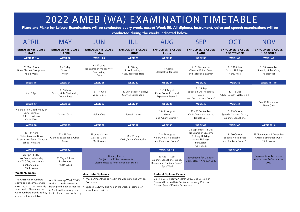| 2022 AMEB (WA) EXAMINATION TIMETABLE<br>Piano and Piano for Leisure Examinations will be conducted every week, except Week 50. All diploma, instrument, voice and speech examinations will be<br>conducted during the weeks indicated below. |                                                          |                                                                             |                                                         |                                                                                            |                                                                                                                         |                                                                     |                                                                          |
|----------------------------------------------------------------------------------------------------------------------------------------------------------------------------------------------------------------------------------------------|----------------------------------------------------------|-----------------------------------------------------------------------------|---------------------------------------------------------|--------------------------------------------------------------------------------------------|-------------------------------------------------------------------------------------------------------------------------|---------------------------------------------------------------------|--------------------------------------------------------------------------|
| <b>APRIL</b>                                                                                                                                                                                                                                 | <b>MAY</b>                                               | <b>JUN</b>                                                                  | <b>JUL</b>                                              | <b>AUG</b>                                                                                 | <b>SEP</b>                                                                                                              | <b>OCT</b>                                                          | <b>NOV</b>                                                               |
| <b>ENROLMENTS CLOSE</b><br><b>1 MARCH</b>                                                                                                                                                                                                    | <b>ENROLMENTS CLOSE</b><br><b>1 APRIL</b>                | <b>ENROLMENTS CLOSE</b><br>1 MAY                                            | <b>ENROLMENTS CLOSE</b><br><b>1 JUNE</b>                | <b>ENROLMENTS CLOSE</b><br>1 JULY                                                          | <b>ENROLMENTS CLOSE</b><br>1 AUG                                                                                        | <b>ENROLMENTS CLOSE</b><br><b>1 SEPTEMBER</b>                       | <b>ENROLMENTS CLOSE</b><br><b>1 OCTOBER</b>                              |
| <b>WEEK 15 * A</b>                                                                                                                                                                                                                           | <b>WEEK 20</b>                                           | <b>WEEK 25</b>                                                              | <b>WEEK 29</b>                                          | <b>WEEK 33</b>                                                                             | <b>WEEK 38</b>                                                                                                          | <b>WEEK 42</b>                                                      | <b>WEEK 47</b>                                                           |
| 28 Mar - 3 Apr<br>Brass Clarinet, Saxophone<br>*Split Week                                                                                                                                                                                   | 2 - 8 May<br>Speech<br>Violin                            | 6 - 12 June<br>No Exams on Monday WA<br>Day Holiday<br>Flute                | 4 - 10 July<br>School Holidays<br>Flute, Recorder, Harp | 1 - 7 August<br><b>Classical Guitar Brass</b>                                              | 5 - 11 September<br>Classical Guitar, Brass<br>and Kalgoorlie Exams*                                                    | 3 - 9 October<br>School Holdiays<br>Harp, Flute                     | 7 - 13 November<br>Speech, Violin, Viola,<br>Rockschool                  |
| <b>WEEK 16</b>                                                                                                                                                                                                                               | <b>WEEK 21</b>                                           | <b>WEEK 26</b>                                                              | <b>WEEK 30</b>                                          | WEEK 34                                                                                    | <b>WEEK 39</b>                                                                                                          | <b>WEEK 43</b>                                                      | <b>WEEK 48 - 49</b>                                                      |
| 4 - 10 Apr                                                                                                                                                                                                                                   | 9 - 15 May<br>Violin, Viola, Violincello,<br>Double Bass | 13 - 19 June<br>Voice, Brass                                                | 11 - 17 July School Holidays<br>Clarinet, Saxophone     | 8 - 14 August<br>Flute, Rockschool and<br>Esperance Exams *                                | 12 - 18 Sept<br>Speech, Flute, Recorder,<br>Voice<br>and Port Hedland Exams*                                            | 10 - 16 Oct<br>Oboe, Basson, Violin, Viola                          |                                                                          |
| <b>WEEK 17</b>                                                                                                                                                                                                                               | <b>WEEK 22</b>                                           | <b>WEEK 27</b>                                                              | <b>WEEK 31</b>                                          | <b>WEEK 35</b>                                                                             | <b>WEEK 40</b>                                                                                                          | <b>WEEK 44</b>                                                      | 14 - 27 November<br>Piano Only                                           |
| No Exams on Good Friday or<br>Easter Sunday<br>School Holidays<br>Violin, Viola                                                                                                                                                              | <b>Classical Guitar</b>                                  | Violin, Viola                                                               | Speech, Voice                                           | 15 - 21 August<br>Voice<br>and Albany Exams *                                              | 19 - 25 September<br>Violin, Viola, Violincello,<br>Double Bass                                                         | 17 - 23 October<br>Speech, Classical Guitar,<br>Clarinet, Saxophone |                                                                          |
| <b>WEEK 18</b>                                                                                                                                                                                                                               | WEEK 23                                                  | <b>WEEK 28</b>                                                              | <b>WEEK 32</b>                                          | WEEK 36                                                                                    | WEEK 41                                                                                                                 | <b>WEEK 45</b>                                                      | WEEK 50 A                                                                |
| 18 - 24 April<br>Flute, Recorder, Brass<br>No exams on Easter Monday<br>School Holidays                                                                                                                                                      | 23 - 29 May<br>Clarinet, Saxophone, Oboe,<br>Basson      | 29 June - 3 July<br>Classical Guitar<br>* Split Week                        | 25 - 31 July<br>Violin, Viola, Vionincello              | 22 - 28 August<br>Violin, Viola, Vionincello<br>and Geraldton Exams *                      | 26 September - 2 Oct<br>No Exams on Queen's<br><b>Birthday Holidays</b><br>School Holidays<br>Percussion<br>*Split Week | 24 - 30 October<br>Speech, Voice, Brass<br>and Bunbury Exams *      | 28 November - 4 December<br><b>AMEB Examinations Only</b><br>*Split Week |
| <b>WEEK 19</b>                                                                                                                                                                                                                               | <b>WEEK 24</b>                                           |                                                                             |                                                         | <b>WEEK 37 * A</b>                                                                         |                                                                                                                         | <b>WEEK 46 *</b>                                                    |                                                                          |
| 25 Apr - 1 May<br>No Exams on Monday<br>ANZAC Day Holiday and<br><b>Bunbury Exams</b><br>* Split Week                                                                                                                                        | 30 May - 5 June<br>Rockschool<br>* Split Week            | Subject to sufficient enrolments<br>Closing dates as for Metropolitan Exams | <b>Country Exams</b>                                    | 29 Aug - 4 Sept<br>Clarinet, Saxophone, Oboe,<br>Basson and Bunbury Exams*<br>* Split Week | <b>Enrolments for October</b><br>Exams close 17 August 2022                                                             |                                                                     | <b>Enrolments for November</b><br>exams close 14 September<br>2022       |
| <b>Week Numbers</b>                                                                                                                                                                                                                          |                                                          | <b>Associate Diplomas</b>                                                   |                                                         | <b>Federal Diploma Exams</b>                                                               |                                                                                                                         |                                                                     |                                                                          |
| The AMEB week numbers                                                                                                                                                                                                                        | A split week eg Week 19 (25                              | • Music (AmusA) will be held in the weeks marked with an                    |                                                         | Closing Date, Friday 27 March 2022, One Session of                                         |                                                                                                                         |                                                                     |                                                                          |

above do not correlate with calendar, school or university term weeks. Please use the week numbers exactly as they for April enrolments will apply appear in this timetable.

A split week eg Week 19 (25 April - 1 May) is deemed to belong to the earlier months, ie April, so the closing date

"A" above

• Speech (ASPA) will be held in the weeks allocated for speech examinations

Exams will be held late Septemebr or early October. Contact State Office for further details.